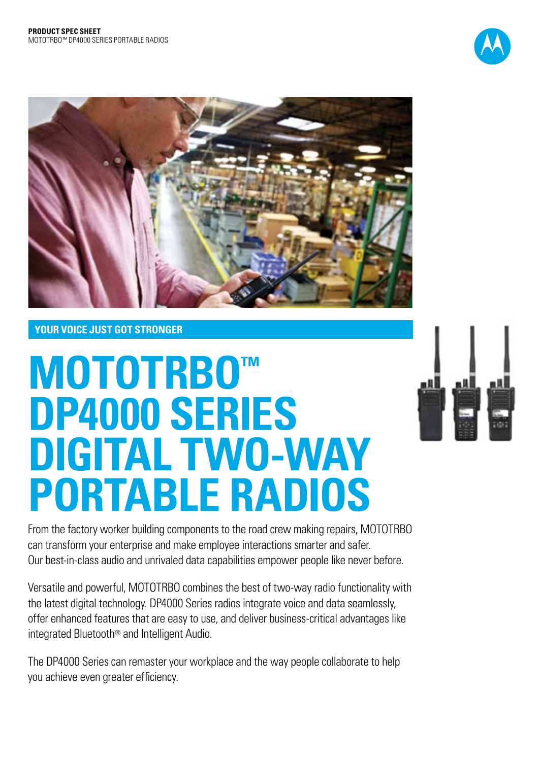



## **YOUR VOICE JUST GOT STRONGER**

# **MOTOTRBO™ DP4000 SERIES DIGITAL TWO-WAY portable RADIOS**



From the factory worker building components to the road crew making repairs, MOTOTRBO can transform your enterprise and make employee interactions smarter and safer. Our best-in-class audio and unrivaled data capabilities empower people like never before.

Versatile and powerful, MOTOTRBO combines the best of two-way radio functionality with the latest digital technology. DP4000 Series radios integrate voice and data seamlessly, offer enhanced features that are easy to use, and deliver business-critical advantages like integrated Bluetooth® and Intelligent Audio.

The DP4000 Series can remaster your workplace and the way people collaborate to help you achieve even greater efficiency.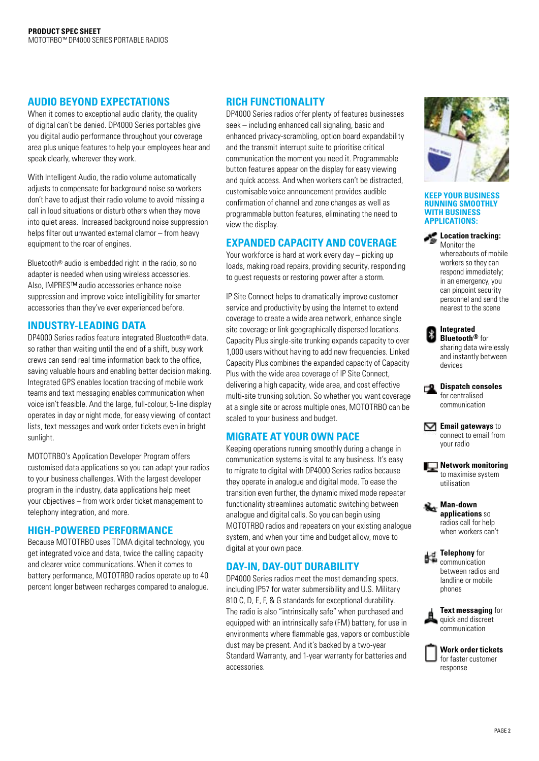#### **AUDIO BEYOND EXPECTATIONS**

When it comes to exceptional audio clarity, the quality of digital can't be denied. DP4000 Series portables give you digital audio performance throughout your coverage area plus unique features to help your employees hear and speak clearly, wherever they work.

With Intelligent Audio, the radio volume automatically adjusts to compensate for background noise so workers don't have to adjust their radio volume to avoid missing a call in loud situations or disturb others when they move into quiet areas. Increased background noise suppression helps filter out unwanted external clamor – from heavy equipment to the roar of engines.

Bluetooth® audio is embedded right in the radio, so no adapter is needed when using wireless accessories. Also, IMPRES™ audio accessories enhance noise suppression and improve voice intelligibility for smarter accessories than they've ever experienced before.

#### **INDUSTRY-LEADING DATA**

DP4000 Series radios feature integrated Bluetooth® data, so rather than waiting until the end of a shift, busy work crews can send real time information back to the office, saving valuable hours and enabling better decision making. Integrated GPS enables location tracking of mobile work teams and text messaging enables communication when voice isn't feasible. And the large, full-colour, 5-line display operates in day or night mode, for easy viewing of contact lists, text messages and work order tickets even in bright sunlight.

MOTOTRBO's Application Developer Program offers customised data applications so you can adapt your radios to your business challenges. With the largest developer program in the industry, data applications help meet your objectives – from work order ticket management to telephony integration, and more.

#### **HIGH-POWERED PERFORMANCE**

Because MOTOTRBO uses TDMA digital technology, you get integrated voice and data, twice the calling capacity and clearer voice communications. When it comes to battery performance, MOTOTRBO radios operate up to 40 percent longer between recharges compared to analogue.

#### **RICH FUNCTIONALITY**

DP4000 Series radios offer plenty of features businesses seek – including enhanced call signaling, basic and enhanced privacy-scrambling, option board expandability and the transmit interrupt suite to prioritise critical communication the moment you need it. Programmable button features appear on the display for easy viewing and quick access. And when workers can't be distracted, customisable voice announcement provides audible confirmation of channel and zone changes as well as programmable button features, eliminating the need to view the display.

### **EXPANDED CAPACITY AND COVERAGE**

Your workforce is hard at work every day – picking up loads, making road repairs, providing security, responding to guest requests or restoring power after a storm.

IP Site Connect helps to dramatically improve customer service and productivity by using the Internet to extend coverage to create a wide area network, enhance single site coverage or link geographically dispersed locations. Capacity Plus single-site trunking expands capacity to over 1,000 users without having to add new frequencies. Linked Capacity Plus combines the expanded capacity of Capacity Plus with the wide area coverage of IP Site Connect, delivering a high capacity, wide area, and cost effective multi-site trunking solution. So whether you want coverage at a single site or across multiple ones, MOTOTRBO can be scaled to your business and budget.

#### **MIGRATE AT YOUR OWN PACE**

Keeping operations running smoothly during a change in communication systems is vital to any business. It's easy to migrate to digital with DP4000 Series radios because they operate in analogue and digital mode. To ease the transition even further, the dynamic mixed mode repeater functionality streamlines automatic switching between analogue and digital calls. So you can begin using MOTOTRBO radios and repeaters on your existing analogue system, and when your time and budget allow, move to digital at your own pace.

### **DAY-IN, DAY-OUT DURABILITY**

DP4000 Series radios meet the most demanding specs, including IP57 for water submersibility and U.S. Military 810 C, D, E, F, & G standards for exceptional durability. The radio is also "intrinsically safe" when purchased and equipped with an intrinsically safe (FM) battery, for use in environments where flammable gas, vapors or combustible dust may be present. And it's backed by a two-year Standard Warranty, and 1-year warranty for batteries and accessories.



#### **Keep your business running smoothly with business applications:**

**Location tracking:** Monitor the whereabouts of mobile workers so they can respond immediately; in an emergency, you can pinpoint security personnel and send the nearest to the scene

| Integrated              |
|-------------------------|
| <b>Bluetooth®</b> for   |
| sharing data wirelessly |
| and instantly between   |
| devices                 |

**Dispatch consoles** for centralised communication

**Email gateways** to connect to email from your radio

**Network monitoring** to maximise system utilisation

**Man-down applications** so radios call for help when workers can't

**Telephony** for communication between radios and landline or mobile phones

**Text messaging** for quick and discreet communication

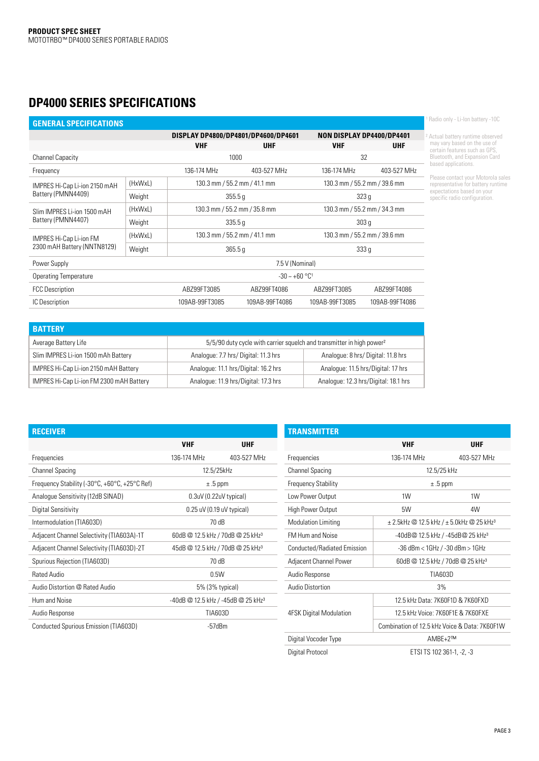# **DP4000 Series Specifications**

| <b>GENERAL SPECIFICATIONS</b>          |         |                            |                                     |                              |                                  |  |  |  |
|----------------------------------------|---------|----------------------------|-------------------------------------|------------------------------|----------------------------------|--|--|--|
|                                        |         |                            | DISPLAY DP4800/DP4801/DP4600/DP4601 |                              | <b>NON DISPLAY DP4400/DP4401</b> |  |  |  |
|                                        |         | <b>VHF</b><br><b>UHF</b>   |                                     | <b>VHF</b>                   | <b>UHF</b>                       |  |  |  |
| Channel Capacity                       |         |                            | 1000                                |                              | 32                               |  |  |  |
| Frequency                              |         | 136-174 MHz                | 403-527 MHz                         |                              | 403-527 MHz                      |  |  |  |
| IMPRES Hi-Cap Li-ion 2150 mAH          | (HxWxL) |                            | 130.3 mm / 55.2 mm / 41.1 mm        |                              | 130.3 mm / 55.2 mm / 39.6 mm     |  |  |  |
| Battery (PMNN4409)                     | Weight  |                            | 355.5q                              |                              | 323q                             |  |  |  |
| (HxWxL)<br>Slim IMPRES Li-ion 1500 mAH |         |                            | 130.3 mm / 55.2 mm / 35.8 mm        | 130.3 mm / 55.2 mm / 34.3 mm |                                  |  |  |  |
| Battery (PMNN4407)                     | Weight  |                            | 335.5q                              |                              | 303q                             |  |  |  |
| (HxWxL)<br>IMPRES Hi-Cap Li-ion FM     |         |                            | 130.3 mm / 55.2 mm / 41.1 mm        |                              | 130.3 mm / 55.2 mm / 39.6 mm     |  |  |  |
| 2300 mAH Battery (NNTN8129)            | Weight  |                            | 365.5q                              | 333q                         |                                  |  |  |  |
| Power Supply                           |         | 7.5 V (Nominal)            |                                     |                              |                                  |  |  |  |
| Operating Temperature                  |         |                            | $-30 - +60$ °C <sup>1</sup>         |                              |                                  |  |  |  |
| <b>FCC Description</b>                 |         | ABZ99FT3085<br>ABZ99FT4086 |                                     | ABZ99FT3085                  | ABZ99FT4086                      |  |  |  |
| <b>IC Description</b>                  |         | 109AB-99FT3085             | 109AB-99FT4086                      | 109AB-99FT3085               | 109AB-99FT4086                   |  |  |  |

| <b>BATTERY</b>                           |                                                                                   |                                      |  |  |  |  |  |
|------------------------------------------|-----------------------------------------------------------------------------------|--------------------------------------|--|--|--|--|--|
| Average Battery Life                     | 5/5/90 duty cycle with carrier squelch and transmitter in high power <sup>2</sup> |                                      |  |  |  |  |  |
| Slim IMPRES Li-ion 1500 mAh Battery      | Analogue: 7.7 hrs/ Digital: 11.3 hrs                                              | Analogue: 8 hrs/Digital: 11.8 hrs    |  |  |  |  |  |
| IMPRES Hi-Cap Li-ion 2150 mAH Battery    | Analogue: 11.1 hrs/Digital: 16.2 hrs                                              | Analogue: 11.5 hrs/Digital: 17 hrs   |  |  |  |  |  |
| IMPRES Hi-Cap Li-ion FM 2300 mAH Battery | Analogue: 11.9 hrs/Digital: 17.3 hrs                                              | Analogue: 12.3 hrs/Digital: 18.1 hrs |  |  |  |  |  |

|  |  | <sup>1</sup> Radio only - Li-lon battery -100 |  |
|--|--|-----------------------------------------------|--|
|  |  |                                               |  |

² Actual battery runtime observed may vary based on the use of certain features such as GPS, Bluetooth, and Expansion Card based applications.

Please contact your Motorola sales representative for battery runtime expectations based on your specific radio configuration.

| <b>RECEIVER</b>                                                             |                                              |                                                |
|-----------------------------------------------------------------------------|----------------------------------------------|------------------------------------------------|
|                                                                             | <b>VHF</b>                                   | UHF                                            |
| Frequencies                                                                 | 136-174 MHz                                  | 403-527 MHz                                    |
| <b>Channel Spacing</b>                                                      |                                              | 12.5/25kHz                                     |
| Frequency Stability (-30 $\degree$ C, +60 $\degree$ C, +25 $\degree$ C Ref) | $±.5$ ppm                                    |                                                |
| Analogue Sensitivity (12dB SINAD)                                           | 0.3uV (0.22uV typical)                       |                                                |
| Digital Sensitivity                                                         |                                              | $0.25$ uV (0.19 uV typical)                    |
| Intermodulation (TIA603D)                                                   | 70 dB                                        |                                                |
| Adjacent Channel Selectivity (TIA603A)-1T                                   | 60dB @ 12.5 kHz / 70dB @ 25 kHz <sup>3</sup> |                                                |
| Adjacent Channel Selectivity (TIA603D)-2T                                   | 45dB @ 12.5 kHz / 70dB @ 25 kHz <sup>3</sup> |                                                |
| Spurious Rejection (TIA603D)                                                | 70 dB                                        |                                                |
| <b>Rated Audio</b>                                                          | 0.5W                                         |                                                |
| Audio Distortion @ Rated Audio                                              | 5% (3% typical)                              |                                                |
| Hum and Noise                                                               |                                              | -40dB @ 12.5 kHz / -45dB @ 25 kHz <sup>3</sup> |
| Audio Response                                                              |                                              | <b>TIA603D</b>                                 |
| Conducted Spurious Emission (TIA603D)                                       | -57dBm                                       |                                                |

| TRANSMITTER                    |                                                      |                           |  |  |  |  |
|--------------------------------|------------------------------------------------------|---------------------------|--|--|--|--|
|                                | <b>VHF</b>                                           | <b>UHF</b>                |  |  |  |  |
| Frequencies                    | 136-174 MHz                                          | 403-527 MHz               |  |  |  |  |
| <b>Channel Spacing</b>         |                                                      | 12.5/25 kHz               |  |  |  |  |
| <b>Frequency Stability</b>     | $±.5$ ppm                                            |                           |  |  |  |  |
| Low Power Output               | 1W                                                   | 1W                        |  |  |  |  |
| High Power Output              | 5W                                                   | 4W                        |  |  |  |  |
| <b>Modulation Limiting</b>     | ± 2.5kHz @ 12.5 kHz / ± 5.0kHz @ 25 kHz <sup>3</sup> |                           |  |  |  |  |
| <b>FM Hum and Noise</b>        | -40dB@ 12.5 kHz / -45dB@ 25 kHz3                     |                           |  |  |  |  |
| Conducted/Radiated Emission    | $-36$ dBm < $1$ GHz / $-30$ dBm > $1$ GHz            |                           |  |  |  |  |
| Adjacent Channel Power         | 60dB @ 12.5 kHz / 70dB @ 25 kHz <sup>3</sup>         |                           |  |  |  |  |
| Audio Response                 | TIA603D                                              |                           |  |  |  |  |
| Audio Distortion               | 3%                                                   |                           |  |  |  |  |
|                                | 12.5 kHz Data: 7K60F1D & 7K60FXD                     |                           |  |  |  |  |
| <b>4FSK Digital Modulation</b> | 12.5 kHz Voice: 7K60F1E & 7K60FXE                    |                           |  |  |  |  |
|                                | Combination of 12.5 kHz Voice & Data: 7K60E1W        |                           |  |  |  |  |
| Digital Vocoder Type           | AMBE+2™                                              |                           |  |  |  |  |
| Digital Protocol               |                                                      | ETSI TS 102 361-1, -2, -3 |  |  |  |  |